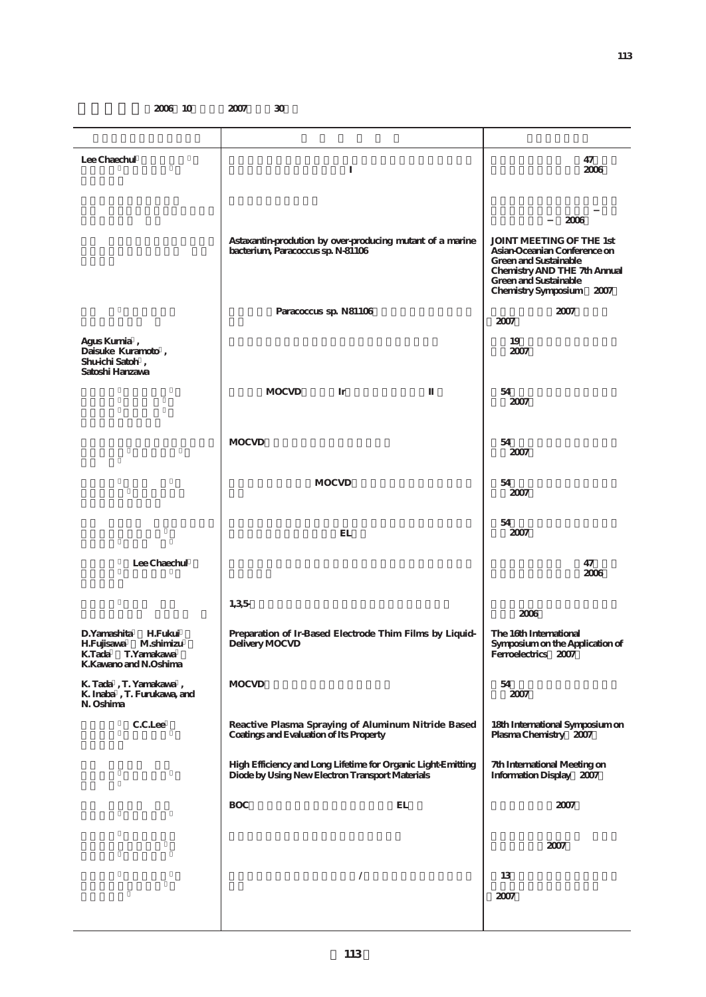**2006** 10 **2007** 30

| Lee Chaechul                                                                                                       | 1                                                                                                               | 47<br>2006                                                                                                                                                                                   |  |  |
|--------------------------------------------------------------------------------------------------------------------|-----------------------------------------------------------------------------------------------------------------|----------------------------------------------------------------------------------------------------------------------------------------------------------------------------------------------|--|--|
|                                                                                                                    | Astaxantin-prodution by over-producing mutant of a marine<br>bacterium, Paracoccus sp. N-81106                  | 2006<br><b>JOINT MEETING OF THE 1st</b><br>Asian-Oceanian Conference on<br><b>Green and Sustainable</b><br>Chemistry AND THE 7th Annual<br>Green and Sustainable<br>Chemistry Symposium 2007 |  |  |
|                                                                                                                    | Paracoccus sp. N81106                                                                                           | 2007<br>2007                                                                                                                                                                                 |  |  |
| Agus Kurnia,<br>Daisuke Kuramoto,<br>Shu-ichi Satoh,<br>Satoshi Hanzawa                                            |                                                                                                                 | 19<br>2007                                                                                                                                                                                   |  |  |
|                                                                                                                    | <b>MOCVD</b><br>Ir                                                                                              | 54<br>2007                                                                                                                                                                                   |  |  |
|                                                                                                                    | <b>MOCVD</b>                                                                                                    | 54<br>2007                                                                                                                                                                                   |  |  |
|                                                                                                                    | <b>MOCVD</b>                                                                                                    | 54<br>2007                                                                                                                                                                                   |  |  |
|                                                                                                                    | EL                                                                                                              | 54<br>2007                                                                                                                                                                                   |  |  |
| Lee Chaechul                                                                                                       |                                                                                                                 | 47<br>2006                                                                                                                                                                                   |  |  |
|                                                                                                                    | 1,35                                                                                                            | 2006                                                                                                                                                                                         |  |  |
| D.Yamashita<br><b>H.Fukui</b><br><b>H.Fujisawa</b><br>M.shimizu<br>K.Tada<br>T.Yamakawa<br>K. Kawano and N. Oshima | Preparation of Ir-Based Electrode Thim Films by Liquid-<br>Delivery MOCVD                                       | The 16th International<br>Symposium on the Application of<br>Ferroelectrics 2007                                                                                                             |  |  |
| K. Tada, T. Yamakawa,<br>K. Inaba, T. Furukawa, and<br>N. Oshima                                                   | <b>MOCVD</b>                                                                                                    | 54<br>2007                                                                                                                                                                                   |  |  |
| C.C.Lee                                                                                                            | Reactive Plasma Spraying of Aluminum Nitride Based<br>Coatings and Evaluation of Its Property                   | 18th International Symposium on<br>Plasma Chemistry 2007                                                                                                                                     |  |  |
|                                                                                                                    | High Efficiency and Long Lifetime for Organic Light-Emitting<br>Diode by Using New Electron Transport Materials | 7th International Meeting on<br>Information Display 2007                                                                                                                                     |  |  |
|                                                                                                                    | <b>BOC</b><br>EL                                                                                                | 2007                                                                                                                                                                                         |  |  |
|                                                                                                                    |                                                                                                                 | 2007                                                                                                                                                                                         |  |  |
|                                                                                                                    | $\overline{\phantom{a}}$                                                                                        | 13<br>2007                                                                                                                                                                                   |  |  |
|                                                                                                                    |                                                                                                                 |                                                                                                                                                                                              |  |  |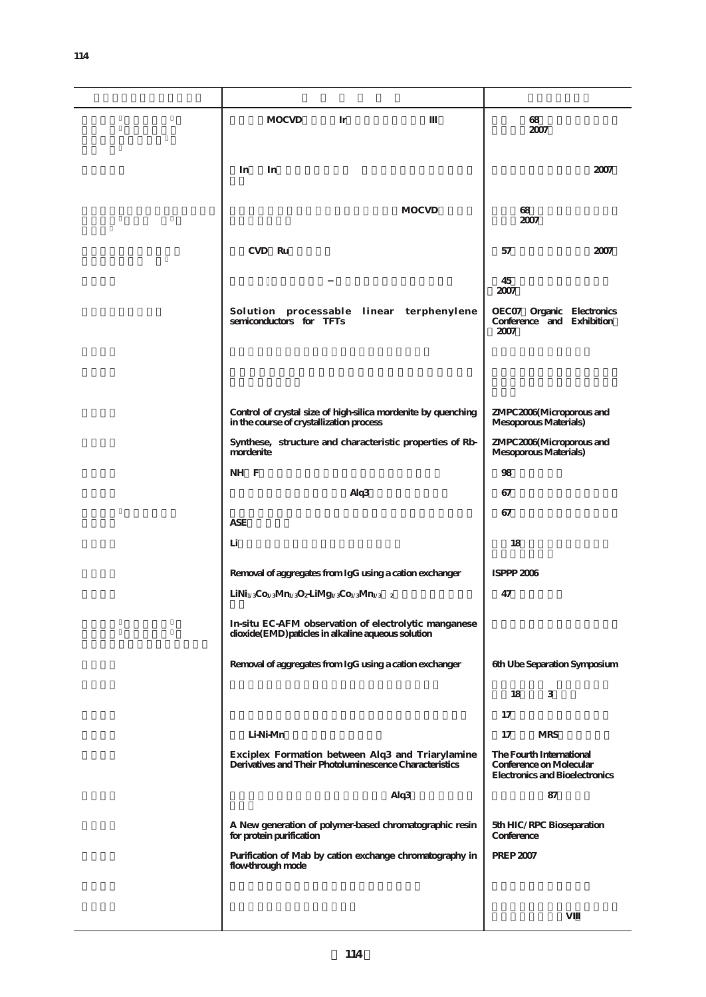| <b>MOCVD</b><br>Ir                                                                                          | 68<br>2007                                                                                   |
|-------------------------------------------------------------------------------------------------------------|----------------------------------------------------------------------------------------------|
| In<br>In                                                                                                    | 2007                                                                                         |
|                                                                                                             |                                                                                              |
| <b>MOCVD</b>                                                                                                | 68<br>2007                                                                                   |
| CVD Ru                                                                                                      | 57<br>2007                                                                                   |
|                                                                                                             | 45<br>2007                                                                                   |
| Solution processable linear terphenylene<br>semiconductors for TFTs                                         | OECO7 Organic Electronics<br>Conference and Exhibition<br>2007                               |
|                                                                                                             |                                                                                              |
| Control of crystal size of high-silica mordenite by quenching<br>in the course of crystallization process   | ZMPC2006(Microporous and<br>Mesoporous Materials)                                            |
| Synthese, structure and characteristic properties of Rb-<br>mordenite                                       | ZMPC2006(Microporous and<br>Mesoporous Materials)                                            |
| NH F                                                                                                        | 98                                                                                           |
| Alq3                                                                                                        | 67                                                                                           |
| <b>ASE</b>                                                                                                  | 67                                                                                           |
| Li                                                                                                          | 18                                                                                           |
| Removal of aggregates from IgG using a cation exchanger                                                     | ISPPP 2006                                                                                   |
| $LiNi1/3Co1/3Mn1/3O2LiMg1/3Co1/3Mn1/3$ 2                                                                    | 47                                                                                           |
| In-situ EC-AFM observation of electrolytic manganese<br>dioxide(EMD) paticles in alkaline aqueous solution  |                                                                                              |
| Removal of aggregates from IgG using a cation exchanger                                                     | 6th Ube Separation Symposium                                                                 |
|                                                                                                             | 3<br>18                                                                                      |
|                                                                                                             | 17                                                                                           |
| Li-Ni-Mn                                                                                                    | 17<br><b>MRS</b>                                                                             |
| Exciplex Formation between Alq3 and Triarylamine<br>Derivatives and Their Photoluminescence Characteristics | The Fourth International<br>Conference on Molecular<br><b>Electronics and Bioelectronics</b> |
| Alq3                                                                                                        | 87                                                                                           |
| A New generation of polymer-based chromatographic resin<br>for protein purification                         | 5th HIC/RPC Bioseparation<br>Conference                                                      |
| Purification of Mab by cation exchange chromatography in<br>flow-through mode                               | <b>PREP 2007</b>                                                                             |
|                                                                                                             |                                                                                              |